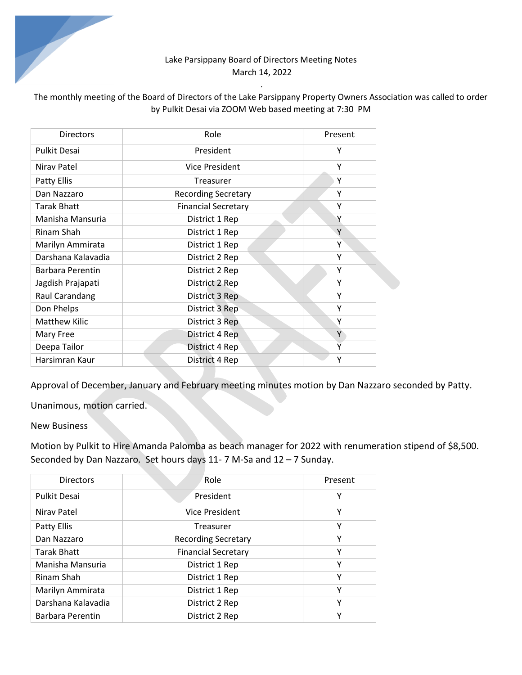## Lake Parsippany Board of Directors Meeting Notes March 14, 2022

# The monthly meeting of the Board of Directors of the Lake Parsippany Property Owners Association was called to order by Pulkit Desai via ZOOM Web based meeting at 7:30 PM

*.* 

| <b>Directors</b>        | Role                       | Present |
|-------------------------|----------------------------|---------|
| <b>Pulkit Desai</b>     | President                  | Υ       |
| Nirav Patel             | Vice President             | Υ       |
| Patty Ellis             | Treasurer                  | Υ       |
| Dan Nazzaro             | <b>Recording Secretary</b> | Υ       |
| <b>Tarak Bhatt</b>      | <b>Financial Secretary</b> | Υ       |
| Manisha Mansuria        | District 1 Rep             | Υ       |
| Rinam Shah              | District 1 Rep             | Y       |
| Marilyn Ammirata        | District 1 Rep             | Υ       |
| Darshana Kalavadia      | District 2 Rep             | Υ       |
| <b>Barbara Perentin</b> | District 2 Rep             | Υ       |
| Jagdish Prajapati       | District 2 Rep             | Υ       |
| Raul Carandang          | District 3 Rep             | Υ       |
| Don Phelps              | District 3 Rep             | Υ       |
| <b>Matthew Kilic</b>    | District 3 Rep             | Υ       |
| Mary Free               | District 4 Rep             | Y       |
| Deepa Tailor            | District 4 Rep             | Ÿ       |
| Harsimran Kaur          | District 4 Rep             | Υ       |

Approval of December, January and February meeting minutes motion by Dan Nazzaro seconded by Patty.

Unanimous, motion carried.

#### New Business

Motion by Pulkit to Hire Amanda Palomba as beach manager for 2022 with renumeration stipend of \$8,500. Seconded by Dan Nazzaro. Set hours days 11- 7 M-Sa and 12 – 7 Sunday.

| <b>Directors</b>   | Role                       | Present |
|--------------------|----------------------------|---------|
| Pulkit Desai       | President                  | Υ       |
| Niray Patel        | Vice President             | Υ       |
| Patty Ellis        | Treasurer                  | Υ       |
| Dan Nazzaro        | <b>Recording Secretary</b> | Υ       |
| <b>Tarak Bhatt</b> | <b>Financial Secretary</b> | Υ       |
| Manisha Mansuria   | District 1 Rep             | Υ       |
| Rinam Shah         | District 1 Rep             | Υ       |
| Marilyn Ammirata   | District 1 Rep             | Υ       |
| Darshana Kalavadia | District 2 Rep             | Υ       |
| Barbara Perentin   | District 2 Rep             | γ       |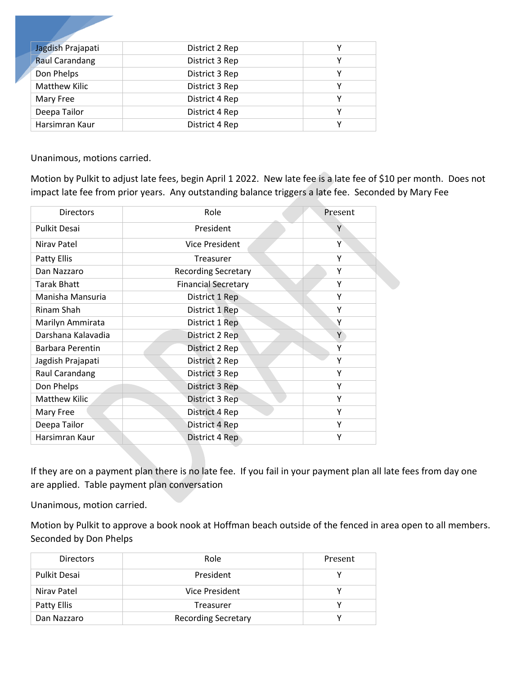| Jagdish Prajapati     | District 2 Rep |  |
|-----------------------|----------------|--|
| <b>Raul Carandang</b> | District 3 Rep |  |
| Don Phelps            | District 3 Rep |  |
| <b>Matthew Kilic</b>  | District 3 Rep |  |
| Mary Free             | District 4 Rep |  |
| Deepa Tailor          | District 4 Rep |  |
| Harsimran Kaur        | District 4 Rep |  |

Unanimous, motions carried.

Motion by Pulkit to adjust late fees, begin April 1 2022. New late fee is a late fee of \$10 per month. Does not impact late fee from prior years. Any outstanding balance triggers a late fee. Seconded by Mary Fee

| <b>Directors</b>     | Role                       | Present |
|----------------------|----------------------------|---------|
| <b>Pulkit Desai</b>  | President                  | Υ       |
| Nirav Patel          | Vice President             | Υ       |
| Patty Ellis          | Treasurer                  | Υ       |
| Dan Nazzaro          | <b>Recording Secretary</b> | Υ       |
| <b>Tarak Bhatt</b>   | <b>Financial Secretary</b> | Υ       |
| Manisha Mansuria     | District 1 Rep             | Υ       |
| Rinam Shah           | District 1 Rep             | Υ       |
| Marilyn Ammirata     | District 1 Rep             | Y       |
| Darshana Kalavadia   | District 2 Rep             | Y       |
| Barbara Perentin     | District 2 Rep             | Υ       |
| Jagdish Prajapati    | District 2 Rep             | Υ       |
| Raul Carandang       | District 3 Rep             | Υ       |
| Don Phelps           | District 3 Rep             | Υ       |
| <b>Matthew Kilic</b> | District 3 Rep             | Υ       |
| Mary Free            | District 4 Rep             | Υ       |
| Deepa Tailor         | District 4 Rep             | Υ       |
| Harsimran Kaur       | District 4 Rep             | Υ       |

If they are on a payment plan there is no late fee. If you fail in your payment plan all late fees from day one are applied. Table payment plan conversation

Unanimous, motion carried.

Motion by Pulkit to approve a book nook at Hoffman beach outside of the fenced in area open to all members. Seconded by Don Phelps

| <b>Directors</b>    | Role                       | Present |
|---------------------|----------------------------|---------|
| <b>Pulkit Desai</b> | President                  |         |
| Nirav Patel         | Vice President             |         |
| Patty Ellis         | Treasurer                  |         |
| Dan Nazzaro         | <b>Recording Secretary</b> |         |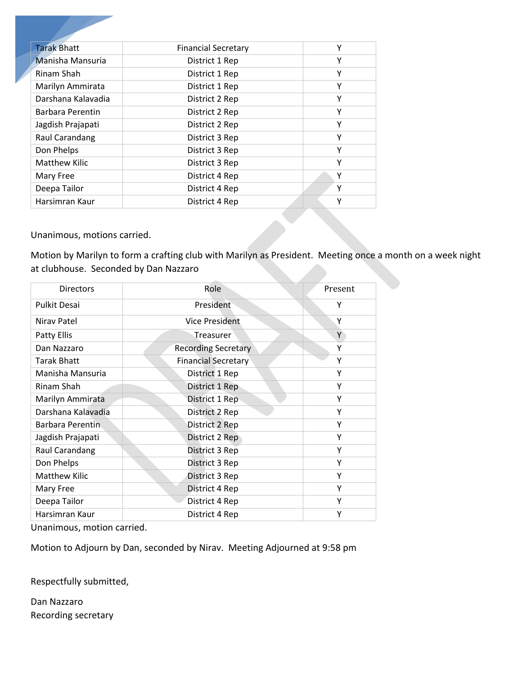| <b>Financial Secretary</b> | Υ |
|----------------------------|---|
| District 1 Rep             | Υ |
| District 1 Rep             | Υ |
| District 1 Rep             | Υ |
| District 2 Rep             | Υ |
| District 2 Rep             | Υ |
| District 2 Rep             | Υ |
| District 3 Rep             | Υ |
| District 3 Rep             | Υ |
| District 3 Rep             | Υ |
| District 4 Rep             | Υ |
| District 4 Rep             | Υ |
| District 4 Rep             | Υ |
|                            |   |

Unanimous, motions carried.

Motion by Marilyn to form a crafting club with Marilyn as President. Meeting once a month on a week night at clubhouse. Seconded by Dan Nazzaro

| <b>Directors</b>     | Role                       | Present |
|----------------------|----------------------------|---------|
| <b>Pulkit Desai</b>  | President                  | Υ       |
| Nirav Patel          | <b>Vice President</b>      | Υ       |
| Patty Ellis          | Treasurer                  | Y       |
| Dan Nazzaro          | <b>Recording Secretary</b> | Υ       |
| Tarak Bhatt          | <b>Financial Secretary</b> | Υ       |
| Manisha Mansuria     | District 1 Rep             | Y       |
| Rinam Shah           | District 1 Rep             | Υ       |
| Marilyn Ammirata     | District 1 Rep             | Υ       |
| Darshana Kalavadia   | District 2 Rep             | Υ       |
| Barbara Perentin     | District 2 Rep             | Υ       |
| Jagdish Prajapati    | District 2 Rep             | Υ       |
| Raul Carandang       | District 3 Rep             | Υ       |
| Don Phelps           | District 3 Rep             | Υ       |
| <b>Matthew Kilic</b> | District 3 Rep             | Υ       |
| Mary Free            | District 4 Rep             | Υ       |
| Deepa Tailor         | District 4 Rep             | Υ       |
| Harsimran Kaur       | District 4 Rep             | Υ       |

Unanimous, motion carried.

Motion to Adjourn by Dan, seconded by Nirav. Meeting Adjourned at 9:58 pm

Respectfully submitted,

Dan Nazzaro Recording secretary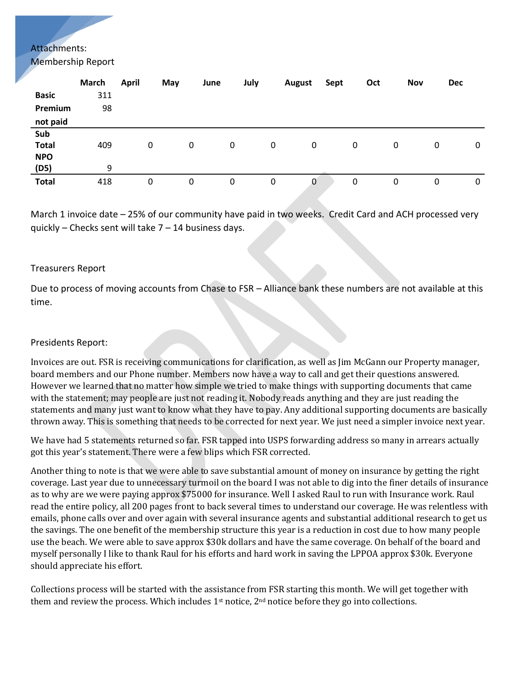## Attachments:

Membership Report

| 0 |
|---|
|   |
|   |
| 0 |
|   |

March 1 invoice date – 25% of our community have paid in two weeks. Credit Card and ACH processed very quickly – Checks sent will take 7 – 14 business days.

#### Treasurers Report

Due to process of moving accounts from Chase to FSR – Alliance bank these numbers are not available at this time.

#### Presidents Report:

Invoices are out. FSR is receiving communications for clarification, as well as Jim McGann our Property manager, board members and our Phone number. Members now have a way to call and get their questions answered. However we learned that no matter how simple we tried to make things with supporting documents that came with the statement; may people are just not reading it. Nobody reads anything and they are just reading the statements and many just want to know what they have to pay. Any additional supporting documents are basically thrown away. This is something that needs to be corrected for next year. We just need a simpler invoice next year.

We have had 5 statements returned so far. FSR tapped into USPS forwarding address so many in arrears actually got this year's statement. There were a few blips which FSR corrected.

Another thing to note is that we were able to save substantial amount of money on insurance by getting the right coverage. Last year due to unnecessary turmoil on the board I was not able to dig into the finer details of insurance as to why are we were paying approx \$75000 for insurance. Well I asked Raul to run with Insurance work. Raul read the entire policy, all 200 pages front to back several times to understand our coverage. He was relentless with emails, phone calls over and over again with several insurance agents and substantial additional research to get us the savings. The one benefit of the membership structure this year is a reduction in cost due to how many people use the beach. We were able to save approx \$30k dollars and have the same coverage. On behalf of the board and myself personally I like to thank Raul for his efforts and hard work in saving the LPPOA approx \$30k. Everyone should appreciate his effort.

Collections process will be started with the assistance from FSR starting this month. We will get together with them and review the process. Which includes 1<sup>st</sup> notice, 2<sup>nd</sup> notice before they go into collections.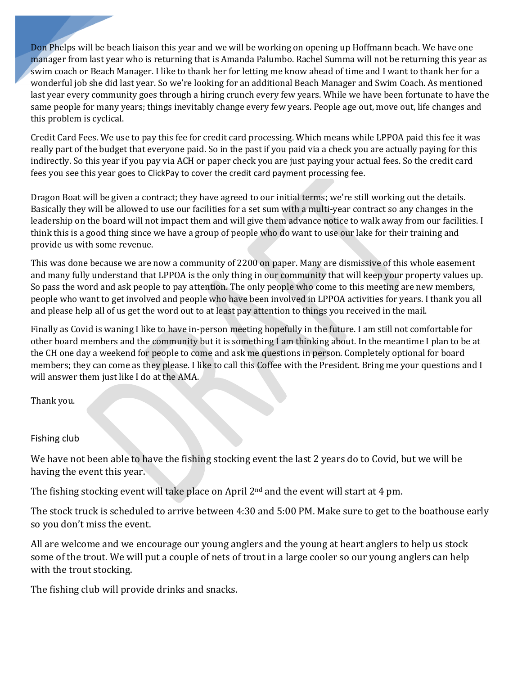Don Phelps will be beach liaison this year and we will be working on opening up Hoffmann beach. We have one manager from last year who is returning that is Amanda Palumbo. Rachel Summa will not be returning this year as swim coach or Beach Manager. I like to thank her for letting me know ahead of time and I want to thank her for a wonderful job she did last year. So we're looking for an additional Beach Manager and Swim Coach. As mentioned last year every community goes through a hiring crunch every few years. While we have been fortunate to have the same people for many years; things inevitably change every few years. People age out, move out, life changes and this problem is cyclical.

Credit Card Fees. We use to pay this fee for credit card processing. Which means while LPPOA paid this fee it was really part of the budget that everyone paid. So in the past if you paid via a check you are actually paying for this indirectly. So this year if you pay via ACH or paper check you are just paying your actual fees. So the credit card fees you see this year goes to ClickPay to cover the credit card payment processing fee.

Dragon Boat will be given a contract; they have agreed to our initial terms; we're still working out the details. Basically they will be allowed to use our facilities for a set sum with a multi-year contract so any changes in the leadership on the board will not impact them and will give them advance notice to walk away from our facilities. I think this is a good thing since we have a group of people who do want to use our lake for their training and provide us with some revenue.

This was done because we are now a community of 2200 on paper. Many are dismissive of this whole easement and many fully understand that LPPOA is the only thing in our community that will keep your property values up. So pass the word and ask people to pay attention. The only people who come to this meeting are new members, people who want to get involved and people who have been involved in LPPOA activities for years. I thank you all and please help all of us get the word out to at least pay attention to things you received in the mail.

Finally as Covid is waning I like to have in-person meeting hopefully in the future. I am still not comfortable for other board members and the community but it is something I am thinking about. In the meantime I plan to be at the CH one day a weekend for people to come and ask me questions in person. Completely optional for board members; they can come as they please. I like to call this Coffee with the President. Bring me your questions and I will answer them just like I do at the AMA.

Thank you.

### Fishing club

We have not been able to have the fishing stocking event the last 2 years do to Covid, but we will be having the event this year.

The fishing stocking event will take place on April 2<sup>nd</sup> and the event will start at 4 pm.

The stock truck is scheduled to arrive between 4:30 and 5:00 PM. Make sure to get to the boathouse early so you don't miss the event.

All are welcome and we encourage our young anglers and the young at heart anglers to help us stock some of the trout. We will put a couple of nets of trout in a large cooler so our young anglers can help with the trout stocking.

The fishing club will provide drinks and snacks.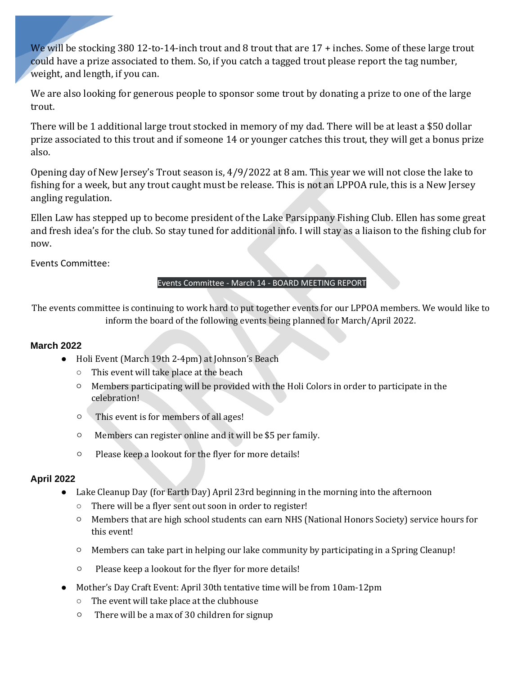We will be stocking 380 12-to-14-inch trout and 8 trout that are 17 + inches. Some of these large trout could have a prize associated to them. So, if you catch a tagged trout please report the tag number, weight, and length, if you can.

We are also looking for generous people to sponsor some trout by donating a prize to one of the large trout.

There will be 1 additional large trout stocked in memory of my dad. There will be at least a \$50 dollar prize associated to this trout and if someone 14 or younger catches this trout, they will get a bonus prize also.

Opening day of New Jersey's Trout season is, 4/9/2022 at 8 am. This year we will not close the lake to fishing for a week, but any trout caught must be release. This is not an LPPOA rule, this is a New Jersey angling regulation.

Ellen Law has stepped up to become president of the Lake Parsippany Fishing Club. Ellen has some great and fresh idea's for the club. So stay tuned for additional info. I will stay as a liaison to the fishing club for now.

Events Committee:

### Events Committee - March 14 - BOARD MEETING REPORT

The events committee is continuing to work hard to put together events for our LPPOA members. We would like to inform the board of the following events being planned for March/April 2022.

### **March 2022**

- Holi Event (March 19th 2-4pm) at Johnson's Beach
	- This event will take place at the beach
	- Members participating will be provided with the Holi Colors in order to participate in the celebration!
	- This event is for members of all ages!
	- Members can register online and it will be \$5 per family.
	- Please keep a lookout for the flyer for more details!

# **April 2022**

- Lake Cleanup Day (for Earth Day) April 23rd beginning in the morning into the afternoon
	- There will be a flyer sent out soon in order to register!
	- Members that are high school students can earn NHS (National Honors Society) service hours for this event!
	- Members can take part in helping our lake community by participating in a Spring Cleanup!
	- Please keep a lookout for the flyer for more details!
- Mother's Day Craft Event: April 30th tentative time will be from 10am-12pm
	- The event will take place at the clubhouse
	- There will be a max of 30 children for signup